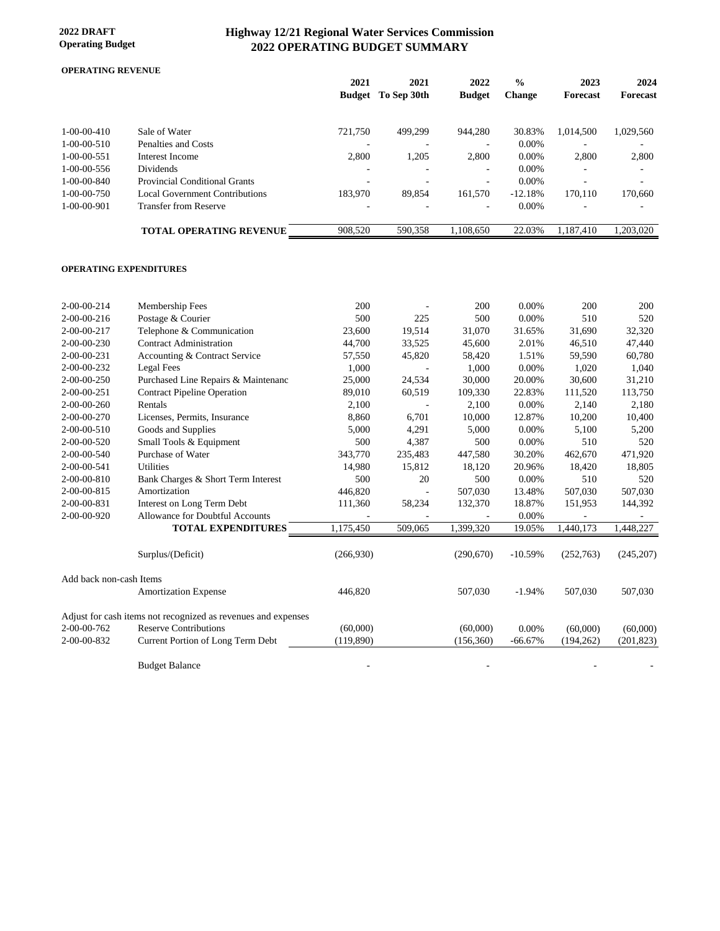#### **2022 DRAFT Operating Budget**

# **Highway 12/21 Regional Water Services Commission 2022 OPERATING BUDGET SUMMARY**

#### **OPERATING REVENUE**

|                     |                                | 2021                     | 2021<br><b>Budget</b> To Sep 30th | 2022<br><b>Budget</b>    | $\frac{0}{0}$<br><b>Change</b> | 2023<br>Forecast | 2024<br>Forecast |
|---------------------|--------------------------------|--------------------------|-----------------------------------|--------------------------|--------------------------------|------------------|------------------|
| $1-00-00-410$       | Sale of Water                  | 721,750                  | 499.299                           | 944.280                  | 30.83%                         | 1.014.500        | 1,029,560        |
| $1-00-00-510$       | Penalties and Costs            | $\overline{\phantom{a}}$ |                                   | $\overline{\phantom{0}}$ | $0.00\%$                       |                  |                  |
| $1-00-00-551$       | Interest Income                | 2,800                    | 1,205                             | 2,800                    | $0.00\%$                       | 2,800            | 2,800            |
| $1-00-00-556$       | <b>Dividends</b>               |                          |                                   | ۰                        | $0.00\%$                       |                  |                  |
| $1 - 00 - 00 - 840$ | Provincial Conditional Grants  |                          |                                   | ۰                        | $0.00\%$                       |                  |                  |
| $1 - 00 - 00 - 750$ | Local Government Contributions | 183,970                  | 89.854                            | 161,570                  | $-12.18%$                      | 170.110          | 170,660          |
| $1-00-00-901$       | <b>Transfer from Reserve</b>   |                          |                                   |                          | $0.00\%$                       |                  |                  |
|                     | <b>TOTAL OPERATING REVENUE</b> | 908,520                  | 590.358                           | 1.108.650                | 22.03%                         | 1.187.410        | 1.203.020        |
|                     |                                |                          |                                   |                          |                                |                  |                  |

#### **OPERATING EXPENDITURES**

| 2-00-00-214             | Membership Fees                                               | 200       |         | 200        | $0.00\%$  | 200        | 200        |
|-------------------------|---------------------------------------------------------------|-----------|---------|------------|-----------|------------|------------|
| $2 - 00 - 00 - 216$     | Postage & Courier                                             | 500       | 225     | 500        | $0.00\%$  | 510        | 520        |
| 2-00-00-217             | Telephone & Communication                                     | 23,600    | 19,514  | 31,070     | 31.65%    | 31,690     | 32,320     |
| $2 - 00 - 00 - 230$     | <b>Contract Administration</b>                                | 44,700    | 33,525  | 45,600     | 2.01%     | 46,510     | 47,440     |
| 2-00-00-231             | Accounting & Contract Service                                 | 57,550    | 45,820  | 58,420     | 1.51%     | 59,590     | 60,780     |
| 2-00-00-232             | <b>Legal Fees</b>                                             | 1,000     |         | 1,000      | 0.00%     | 1,020      | 1,040      |
| 2-00-00-250             | Purchased Line Repairs & Maintenanc                           | 25,000    | 24,534  | 30,000     | 20.00%    | 30,600     | 31,210     |
| 2-00-00-251             | <b>Contract Pipeline Operation</b>                            | 89,010    | 60,519  | 109,330    | 22.83%    | 111,520    | 113,750    |
| $2 - 00 - 00 - 260$     | Rentals                                                       | 2,100     |         | 2,100      | $0.00\%$  | 2,140      | 2,180      |
| 2-00-00-270             | Licenses, Permits, Insurance                                  | 8,860     | 6,701   | 10,000     | 12.87%    | 10,200     | 10,400     |
| 2-00-00-510             | Goods and Supplies                                            | 5,000     | 4,291   | 5,000      | 0.00%     | 5,100      | 5,200      |
| 2-00-00-520             | Small Tools & Equipment                                       | 500       | 4,387   | 500        | 0.00%     | 510        | 520        |
| 2-00-00-540             | Purchase of Water                                             | 343,770   | 235,483 | 447,580    | 30.20%    | 462,670    | 471,920    |
| 2-00-00-541             | <b>Utilities</b>                                              | 14,980    | 15,812  | 18,120     | 20.96%    | 18,420     | 18,805     |
| 2-00-00-810             | Bank Charges & Short Term Interest                            | 500       | 20      | 500        | $0.00\%$  | 510        | 520        |
| 2-00-00-815             | Amortization                                                  | 446,820   |         | 507,030    | 13.48%    | 507,030    | 507,030    |
| 2-00-00-831             | Interest on Long Term Debt                                    | 111,360   | 58,234  | 132,370    | 18.87%    | 151,953    | 144,392    |
| 2-00-00-920             | Allowance for Doubtful Accounts                               |           |         |            | 0.00%     |            |            |
|                         | <b>TOTAL EXPENDITURES</b>                                     | 1,175,450 | 509,065 | 1,399,320  | 19.05%    | 1,440,173  | 1,448,227  |
|                         |                                                               |           |         |            |           |            |            |
|                         | Surplus/(Deficit)                                             | (266,930) |         | (290,670)  | $-10.59%$ | (252,763)  | (245,207)  |
| Add back non-cash Items |                                                               |           |         |            |           |            |            |
|                         | <b>Amortization Expense</b>                                   | 446,820   |         | 507,030    | $-1.94%$  | 507,030    | 507,030    |
|                         |                                                               |           |         |            |           |            |            |
|                         | Adjust for cash items not recognized as revenues and expenses |           |         |            |           |            |            |
| 2-00-00-762             | <b>Reserve Contributions</b>                                  | (60,000)  |         | (60,000)   | 0.00%     | (60,000)   | (60,000)   |
| 2-00-00-832             | Current Portion of Long Term Debt                             | (119,890) |         | (156, 360) | $-66.67%$ | (194, 262) | (201, 823) |
|                         |                                                               |           |         |            |           |            |            |
|                         | <b>Budget Balance</b>                                         |           |         |            |           |            |            |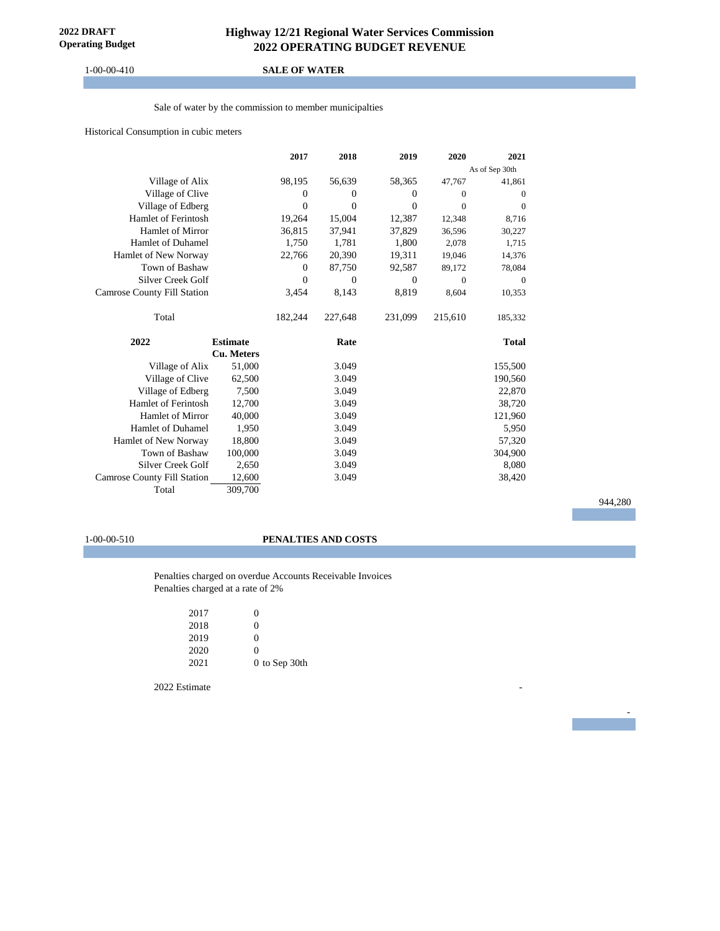#### 1-00-00-410 **SALE OF WATER**

Sale of water by the commission to member municipalties

Historical Consumption in cubic meters

|                                    |                   | 2017           | 2018     | 2019           | 2020     | 2021           |
|------------------------------------|-------------------|----------------|----------|----------------|----------|----------------|
|                                    |                   |                |          |                |          | As of Sep 30th |
| Village of Alix                    |                   | 98,195         | 56,639   | 58,365         | 47,767   | 41,861         |
| Village of Clive                   |                   | $\overline{0}$ | $\Omega$ | $\mathbf{0}$   | $\Omega$ | $\mathbf{0}$   |
| Village of Edberg                  |                   | $\theta$       | $\Omega$ | $\overline{0}$ | $\Omega$ | $\theta$       |
| <b>Hamlet of Ferintosh</b>         |                   | 19,264         | 15,004   | 12,387         | 12,348   | 8.716          |
| Hamlet of Mirror                   |                   | 36,815         | 37,941   | 37,829         | 36,596   | 30,227         |
| <b>Hamlet of Duhamel</b>           |                   | 1,750          | 1,781    | 1,800          | 2,078    | 1,715          |
| Hamlet of New Norway               |                   | 22,766         | 20,390   | 19,311         | 19,046   | 14,376         |
| Town of Bashaw                     |                   | $\mathbf{0}$   | 87,750   | 92,587         | 89,172   | 78,084         |
| Silver Creek Golf                  |                   | $\overline{0}$ | $\Omega$ | $\Omega$       | $\Omega$ | $\overline{0}$ |
| <b>Camrose County Fill Station</b> |                   | 3,454          | 8,143    | 8,819          | 8,604    | 10,353         |
| Total                              |                   | 182,244        | 227,648  | 231,099        | 215,610  | 185,332        |
| 2022                               | <b>Estimate</b>   |                | Rate     |                |          | <b>Total</b>   |
|                                    | <b>Cu. Meters</b> |                |          |                |          |                |
| Village of Alix                    | 51,000            |                | 3.049    |                |          | 155,500        |
| Village of Clive                   | 62,500            |                | 3.049    |                |          | 190,560        |
| Village of Edberg                  | 7,500             |                | 3.049    |                |          | 22,870         |
| <b>Hamlet of Ferintosh</b>         | 12,700            |                | 3.049    |                |          | 38,720         |
| Hamlet of Mirror                   | 40,000            |                | 3.049    |                |          | 121,960        |
| <b>Hamlet of Duhamel</b>           | 1,950             |                | 3.049    |                |          | 5,950          |
| Hamlet of New Norway               | 18,800            |                | 3.049    |                |          | 57,320         |
| Town of Bashaw                     | 100,000           |                | 3.049    |                |          | 304,900        |
| Silver Creek Golf                  | 2,650             |                | 3.049    |                |          | 8,080          |
| <b>Camrose County Fill Station</b> | 12,600            |                | 3.049    |                |          | 38,420         |
| Total                              | 309,700           |                |          |                |          |                |

944,280

- 100 minutes

#### 1-00-00-510 **PENALTIES AND COSTS**

Penalties charged on overdue Accounts Receivable Invoices Penalties charged at a rate of 2%

| 2017 | 0             |
|------|---------------|
| 2018 | 0             |
| 2019 | 0             |
| 2020 | 0             |
| 2021 | 0 to Sep 30th |
|      |               |

2022 Estimate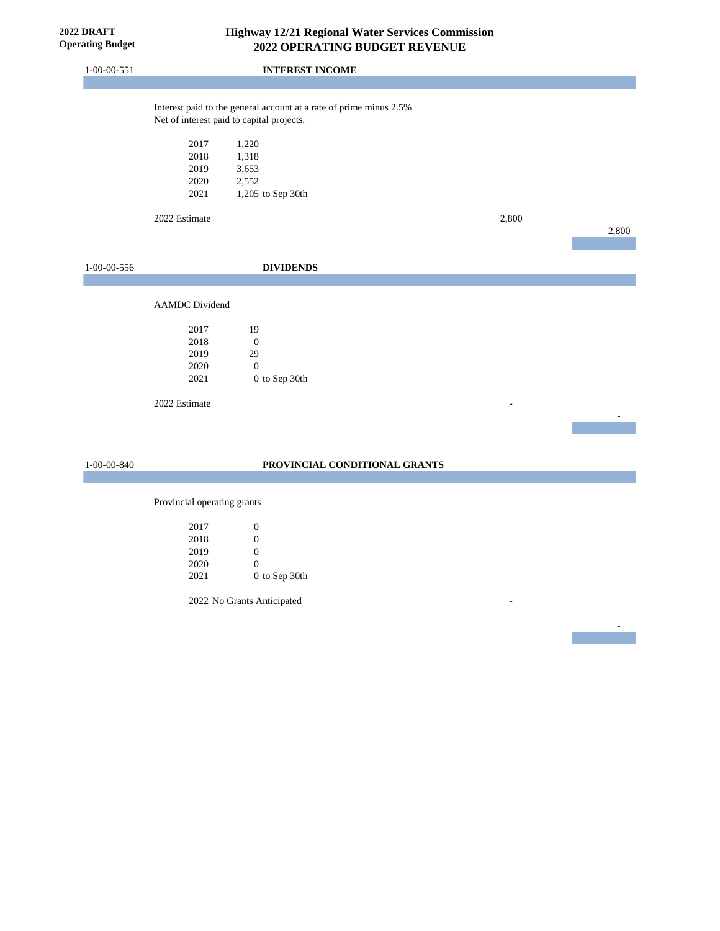| <b>2022 DRAFT</b><br><b>Operating Budget</b> |                       |                                                                                                                 | Highway 12/21 Regional Water Services Commission<br>2022 OPERATING BUDGET REVENUE |       |       |
|----------------------------------------------|-----------------------|-----------------------------------------------------------------------------------------------------------------|-----------------------------------------------------------------------------------|-------|-------|
| $1 - 00 - 00 - 551$                          |                       | <b>INTEREST INCOME</b>                                                                                          |                                                                                   |       |       |
|                                              |                       |                                                                                                                 |                                                                                   |       |       |
|                                              |                       | Interest paid to the general account at a rate of prime minus 2.5%<br>Net of interest paid to capital projects. |                                                                                   |       |       |
|                                              | 2017                  | 1,220                                                                                                           |                                                                                   |       |       |
|                                              | 2018                  | 1,318                                                                                                           |                                                                                   |       |       |
|                                              | 2019                  | 3,653                                                                                                           |                                                                                   |       |       |
|                                              | 2020                  | 2,552                                                                                                           |                                                                                   |       |       |
|                                              | 2021                  | 1,205 to Sep 30th                                                                                               |                                                                                   |       |       |
|                                              | 2022 Estimate         |                                                                                                                 |                                                                                   | 2,800 |       |
|                                              |                       |                                                                                                                 |                                                                                   |       | 2,800 |
|                                              |                       |                                                                                                                 |                                                                                   |       |       |
| 1-00-00-556                                  |                       | <b>DIVIDENDS</b>                                                                                                |                                                                                   |       |       |
|                                              |                       |                                                                                                                 |                                                                                   |       |       |
|                                              | <b>AAMDC</b> Dividend |                                                                                                                 |                                                                                   |       |       |
|                                              | 2017                  | 19                                                                                                              |                                                                                   |       |       |
|                                              | 2018                  | $\boldsymbol{0}$                                                                                                |                                                                                   |       |       |
|                                              | 2019                  | 29                                                                                                              |                                                                                   |       |       |
|                                              | 2020                  | $\mathbf{0}$                                                                                                    |                                                                                   |       |       |
|                                              | 2021                  | 0 to Sep 30th                                                                                                   |                                                                                   |       |       |
|                                              | 2022 Estimate         |                                                                                                                 |                                                                                   |       |       |
|                                              |                       |                                                                                                                 |                                                                                   |       |       |
|                                              |                       |                                                                                                                 |                                                                                   |       |       |
| 1-00-00-840                                  |                       |                                                                                                                 | PROVINCIAL CONDITIONAL GRANTS                                                     |       |       |

-

Provincial operating grants

| 2017 | 0             |
|------|---------------|
| 2018 | 0             |
| 2019 | 0             |
| 2020 | 0             |
| 2021 | 0 to Sep 30th |

2022 No Grants Anticipated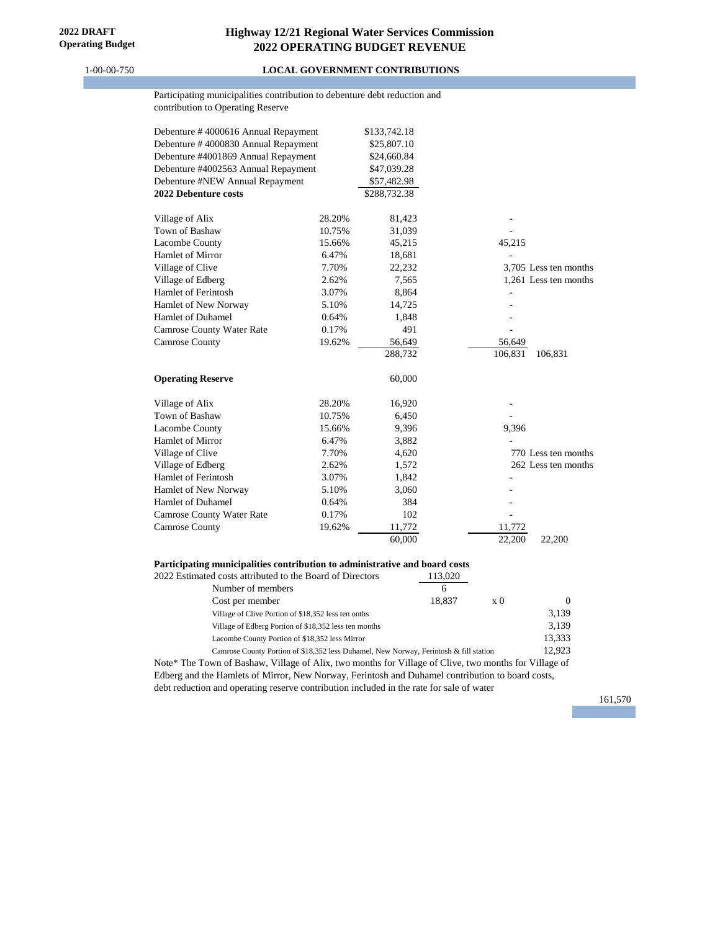#### 1-00-00-750 **LOCAL GOVERNMENT CONTRIBUTIONS**

#### Participating municipalities contribution to debenture debt reduction and contribution to Operating Reserve

| Debenture #4000616 Annual Repayment |        | \$133,742.18 |                       |
|-------------------------------------|--------|--------------|-----------------------|
| Debenture #4000830 Annual Repayment |        | \$25,807.10  |                       |
| Debenture #4001869 Annual Repayment |        | \$24,660.84  |                       |
| Debenture #4002563 Annual Repayment |        | \$47,039.28  |                       |
| Debenture #NEW Annual Repayment     |        | \$57,482.98  |                       |
| 2022 Debenture costs                |        | \$288,732.38 |                       |
| Village of Alix                     | 28.20% | 81,423       |                       |
| Town of Bashaw                      | 10.75% | 31,039       |                       |
| Lacombe County                      | 15.66% | 45,215       | 45,215                |
| Hamlet of Mirror                    | 6.47%  | 18,681       |                       |
| Village of Clive                    | 7.70%  | 22,232       | 3,705 Less ten months |
| Village of Edberg                   | 2.62%  | 7,565        | 1,261 Less ten months |
| Hamlet of Ferintosh                 | 3.07%  | 8,864        |                       |
| Hamlet of New Norway                | 5.10%  | 14,725       |                       |
| Hamlet of Duhamel                   | 0.64%  | 1,848        |                       |
| Camrose County Water Rate           | 0.17%  | 491          |                       |
| Camrose County                      | 19.62% | 56,649       | 56,649                |
|                                     |        | 288,732      | 106,831<br>106,831    |
| <b>Operating Reserve</b>            |        | 60,000       |                       |
| Village of Alix                     | 28.20% | 16,920       |                       |
| Town of Bashaw                      | 10.75% | 6,450        |                       |
| Lacombe County                      | 15.66% | 9,396        | 9,396                 |
| Hamlet of Mirror                    | 6.47%  | 3,882        |                       |
| Village of Clive                    | 7.70%  | 4,620        | 770 Less ten months   |
| Village of Edberg                   | 2.62%  | 1,572        | 262 Less ten months   |
| Hamlet of Ferintosh                 | 3.07%  | 1,842        |                       |
| Hamlet of New Norway                | 5.10%  | 3,060        |                       |
| <b>Hamlet of Duhamel</b>            | 0.64%  | 384          |                       |
| <b>Camrose County Water Rate</b>    | 0.17%  | 102          |                       |
| Camrose County                      | 19.62% | 11,772       | 11,772                |
|                                     |        | 60,000       | 22,200<br>22.200      |

#### **Participating municipalities contribution to administrative and board costs**

| 2022 Estimated costs attributed to the Board of Directors | 113,020                                                                               |                |          |
|-----------------------------------------------------------|---------------------------------------------------------------------------------------|----------------|----------|
| Number of members                                         | 6                                                                                     |                |          |
| Cost per member                                           | 18.837                                                                                | $\mathbf{x}$ 0 | $\Omega$ |
| Village of Clive Portion of \$18,352 less ten onths       |                                                                                       |                | 3.139    |
| Village of Edberg Portion of \$18,352 less ten months     |                                                                                       |                | 3.139    |
| Lacombe County Portion of \$18,352 less Mirror            |                                                                                       |                | 13.333   |
|                                                           | Camrose County Portion of \$18,352 less Duhamel, New Norway, Ferintosh & fill station |                | 12.923   |
|                                                           |                                                                                       |                |          |

Note\* The Town of Bashaw, Village of Alix, two months for Village of Clive, two months for Village of Edberg and the Hamlets of Mirror, New Norway, Ferintosh and Duhamel contribution to board costs, debt reduction and operating reserve contribution included in the rate for sale of water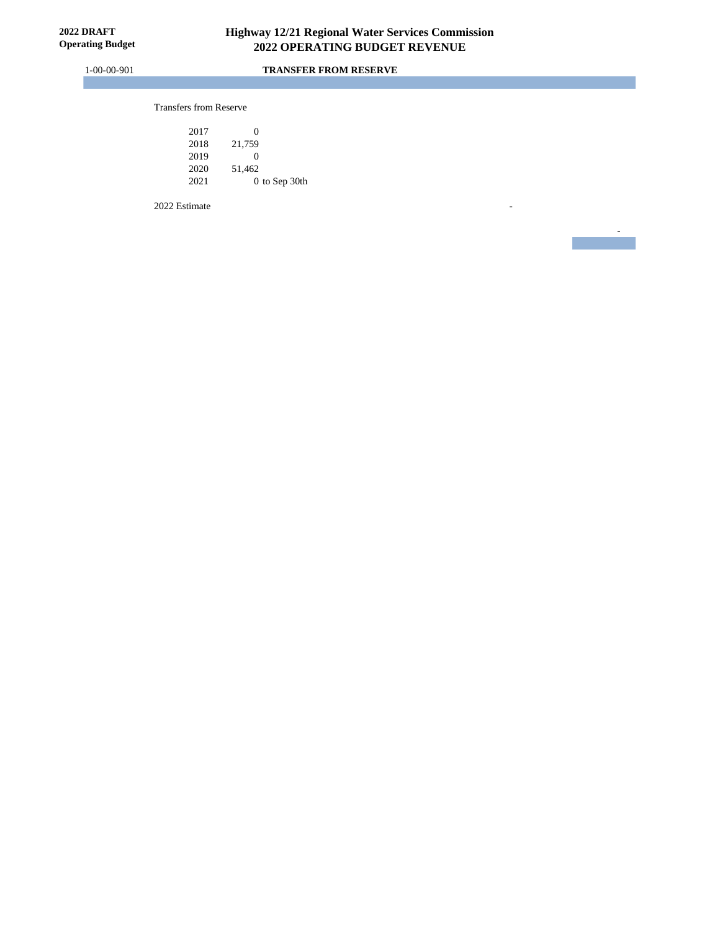-

#### 1-00-00-901 **TRANSFER FROM RESERVE**

#### Transfers from Reserve

| 2017 | 0             |
|------|---------------|
| 2018 | 21,759        |
| 2019 | 0             |
| 2020 | 51,462        |
| 2021 | 0 to Sep 30th |

2022 Estimate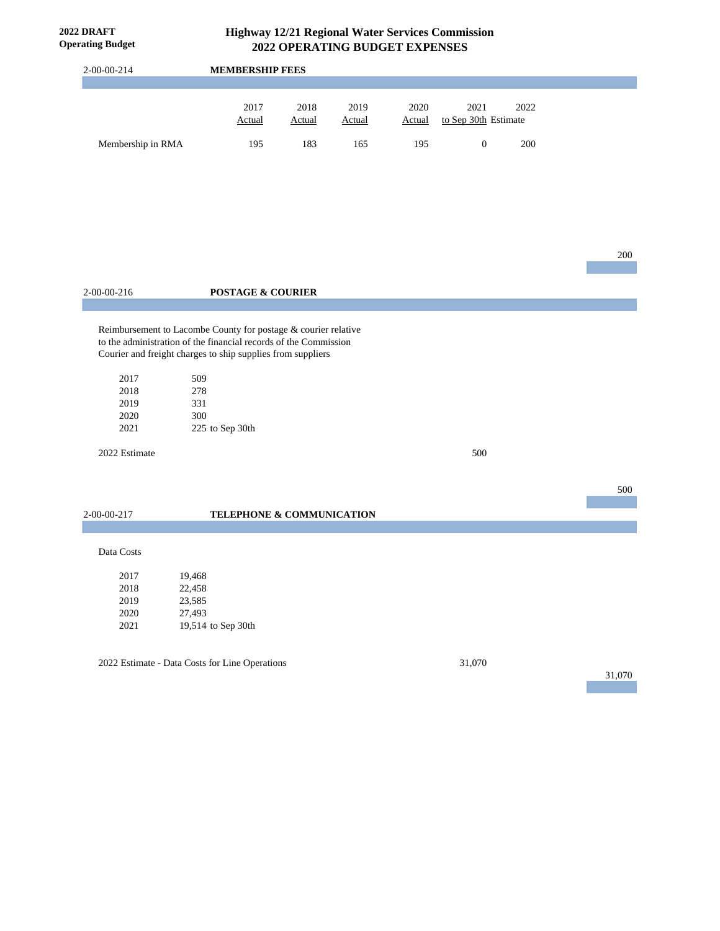| <b>Operating Budget</b> |                                                                                                                                                                                                   |               | 2022 OPERATING BUDGET EXPENSES |               |                      |      |        |
|-------------------------|---------------------------------------------------------------------------------------------------------------------------------------------------------------------------------------------------|---------------|--------------------------------|---------------|----------------------|------|--------|
| 2-00-00-214             | <b>MEMBERSHIP FEES</b>                                                                                                                                                                            |               |                                |               |                      |      |        |
|                         | 2017                                                                                                                                                                                              | 2018          | 2019                           | 2020          | 2021                 | 2022 |        |
|                         | <b>Actual</b>                                                                                                                                                                                     | <b>Actual</b> | Actual                         | <b>Actual</b> | to Sep 30th Estimate |      |        |
| Membership in RMA       | 195                                                                                                                                                                                               | 183           | 165                            | 195           | $\boldsymbol{0}$     | 200  |        |
|                         |                                                                                                                                                                                                   |               |                                |               |                      |      |        |
|                         |                                                                                                                                                                                                   |               |                                |               |                      |      |        |
|                         |                                                                                                                                                                                                   |               |                                |               |                      |      | 200    |
| 2-00-00-216             | <b>POSTAGE &amp; COURIER</b>                                                                                                                                                                      |               |                                |               |                      |      |        |
|                         |                                                                                                                                                                                                   |               |                                |               |                      |      |        |
|                         | Reimbursement to Lacombe County for postage & courier relative<br>to the administration of the financial records of the Commission<br>Courier and freight charges to ship supplies from suppliers |               |                                |               |                      |      |        |
| 2017                    | 509                                                                                                                                                                                               |               |                                |               |                      |      |        |
| 2018                    | 278                                                                                                                                                                                               |               |                                |               |                      |      |        |
| 2019<br>2020            | 331                                                                                                                                                                                               |               |                                |               |                      |      |        |
| 2021                    | 300<br>225 to Sep 30th                                                                                                                                                                            |               |                                |               |                      |      |        |
| 2022 Estimate           |                                                                                                                                                                                                   |               |                                |               | 500                  |      |        |
|                         |                                                                                                                                                                                                   |               |                                |               |                      |      | 500    |
| 2-00-00-217             | TELEPHONE & COMMUNICATION                                                                                                                                                                         |               |                                |               |                      |      |        |
| Data Costs              |                                                                                                                                                                                                   |               |                                |               |                      |      |        |
| 2017                    | 19,468                                                                                                                                                                                            |               |                                |               |                      |      |        |
| 2018                    | 22,458                                                                                                                                                                                            |               |                                |               |                      |      |        |
| 2019                    | 23,585                                                                                                                                                                                            |               |                                |               |                      |      |        |
| 2020<br>$2021\,$        | 27,493<br>19,514 to Sep 30th                                                                                                                                                                      |               |                                |               |                      |      |        |
|                         |                                                                                                                                                                                                   |               |                                |               |                      |      |        |
|                         | 2022 Estimate - Data Costs for Line Operations                                                                                                                                                    |               |                                |               | 31,070               |      | 31,070 |
|                         |                                                                                                                                                                                                   |               |                                |               |                      |      |        |
|                         |                                                                                                                                                                                                   |               |                                |               |                      |      |        |
|                         |                                                                                                                                                                                                   |               |                                |               |                      |      |        |
|                         |                                                                                                                                                                                                   |               |                                |               |                      |      |        |
|                         |                                                                                                                                                                                                   |               |                                |               |                      |      |        |

**2022 DRAFT**

# **Highway 12/21 Regional Water Services Commission**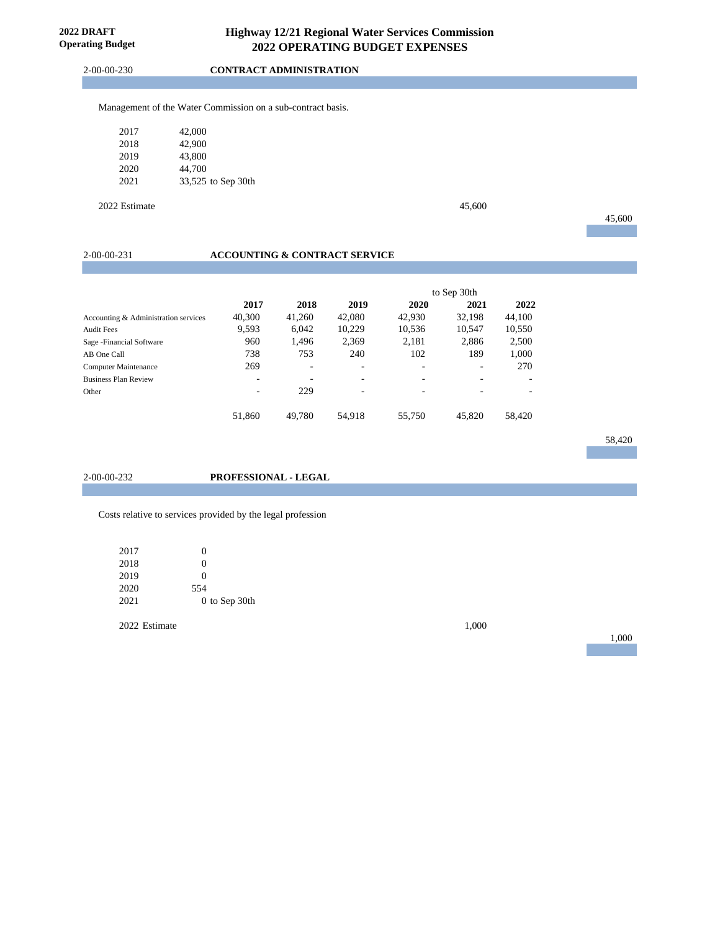2-00-00-230 **CONTRACT ADMINISTRATION**

Management of the Water Commission on a sub-contract basis.

| 2017 | 42,000             |
|------|--------------------|
| 2018 | 42,900             |
| 2019 | 43,800             |
| 2020 | 44,700             |
| 2021 | 33,525 to Sep 30th |

2022 Estimate 45,600

45,600

#### 2-00-00-231 **ACCOUNTING & CONTRACT SERVICE**

|                                      |                          |        |        | to Sep 30th |        |                          |
|--------------------------------------|--------------------------|--------|--------|-------------|--------|--------------------------|
|                                      | 2017                     | 2018   | 2019   | 2020        | 2021   | 2022                     |
| Accounting & Administration services | 40,300                   | 41,260 | 42,080 | 42,930      | 32.198 | 44,100                   |
| <b>Audit Fees</b>                    | 9,593                    | 6,042  | 10,229 | 10,536      | 10,547 | 10,550                   |
| Sage - Financial Software            | 960                      | 1.496  | 2,369  | 2,181       | 2,886  | 2,500                    |
| AB One Call                          | 738                      | 753    | 240    | 102         | 189    | 1,000                    |
| <b>Computer Maintenance</b>          | 269                      | ۰      | ۰      |             | -      | 270                      |
| <b>Business Plan Review</b>          | ۰                        | ٠      | ۰      | -           | -      | $\overline{\phantom{0}}$ |
| Other                                | $\overline{\phantom{a}}$ | 229    | -      |             |        | ۰                        |
|                                      | 51.860                   | 49.780 | 54.918 | 55,750      | 45,820 | 58,420                   |

58,420

2-00-00-232 **PROFESSIONAL - LEGAL**

Costs relative to services provided by the legal profession

| 2017 | 0             |
|------|---------------|
| 2018 | 0             |
| 2019 | 0             |
| 2020 | 554           |
| 2021 | 0 to Sep 30th |

2022 Estimate 1,000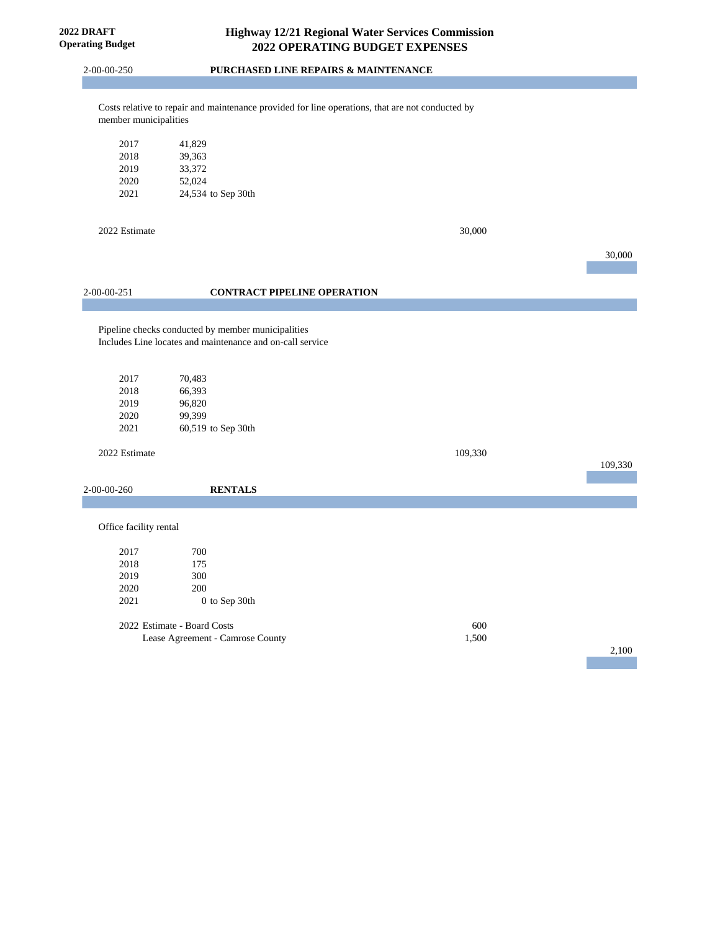**2022 DRAFT Operating Budget**

2-00-00-250 **PURCHASED LINE REPAIRS & MAINTENANCE**

Costs relative to repair and maintenance provided for line operations, that are not conducted by member municipalities

| 41.829             |
|--------------------|
| 39.363             |
| 33.372             |
| 52,024             |
| 24,534 to Sep 30th |
|                    |

2022 Estimate 30,000

|                        |                                                                                                                 |                                    |         | 30,000  |
|------------------------|-----------------------------------------------------------------------------------------------------------------|------------------------------------|---------|---------|
|                        |                                                                                                                 |                                    |         |         |
| 2-00-00-251            |                                                                                                                 | <b>CONTRACT PIPELINE OPERATION</b> |         |         |
|                        |                                                                                                                 |                                    |         |         |
|                        |                                                                                                                 |                                    |         |         |
|                        | Pipeline checks conducted by member municipalities<br>Includes Line locates and maintenance and on-call service |                                    |         |         |
|                        |                                                                                                                 |                                    |         |         |
|                        |                                                                                                                 |                                    |         |         |
| 2017                   | 70,483                                                                                                          |                                    |         |         |
| 2018                   | 66,393                                                                                                          |                                    |         |         |
| 2019                   | 96,820                                                                                                          |                                    |         |         |
| 2020                   | 99,399                                                                                                          |                                    |         |         |
| 2021                   | 60,519 to Sep 30th                                                                                              |                                    |         |         |
| 2022 Estimate          |                                                                                                                 |                                    | 109,330 |         |
|                        |                                                                                                                 |                                    |         | 109,330 |
|                        |                                                                                                                 |                                    |         |         |
| 2-00-00-260            | <b>RENTALS</b>                                                                                                  |                                    |         |         |
|                        |                                                                                                                 |                                    |         |         |
| Office facility rental |                                                                                                                 |                                    |         |         |
|                        |                                                                                                                 |                                    |         |         |
| 2017                   | 700                                                                                                             |                                    |         |         |
| 2018                   | 175                                                                                                             |                                    |         |         |
| 2019                   | 300                                                                                                             |                                    |         |         |
| 2020                   | 200                                                                                                             |                                    |         |         |
| 2021                   | 0 to Sep 30th                                                                                                   |                                    |         |         |
|                        | 2022 Estimate - Board Costs                                                                                     |                                    | 600     |         |
|                        | Lease Agreement - Camrose County                                                                                |                                    | 1,500   |         |
|                        |                                                                                                                 |                                    |         |         |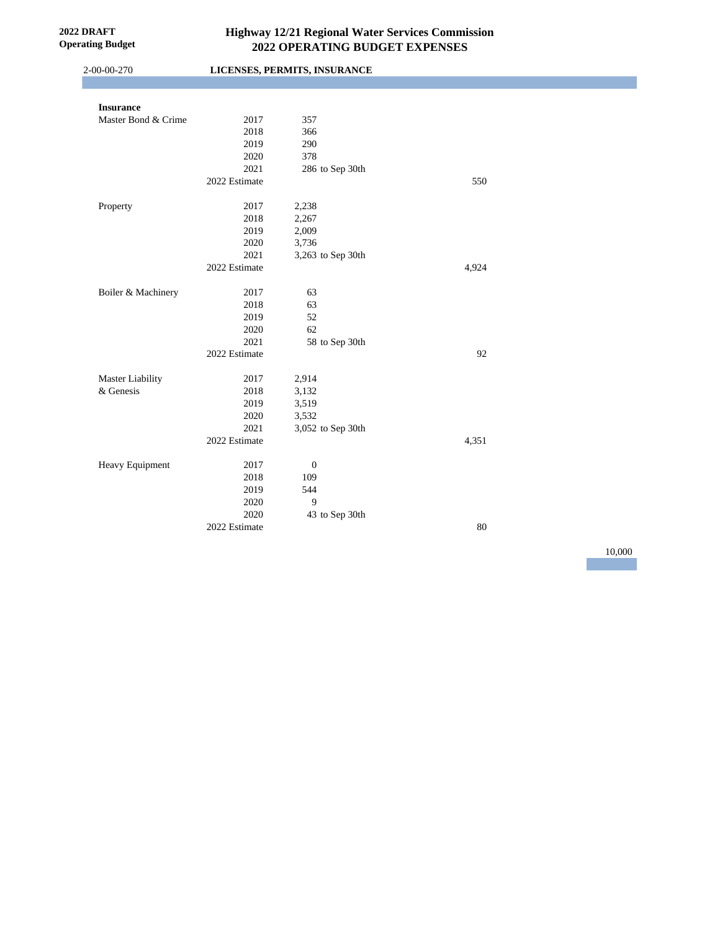| 2-00-00-270             |               | LICENSES, PERMITS, INSURANCE |        |  |
|-------------------------|---------------|------------------------------|--------|--|
|                         |               |                              |        |  |
| <b>Insurance</b>        |               |                              |        |  |
| Master Bond & Crime     | 2017          | 357                          |        |  |
|                         | 2018          | 366                          |        |  |
|                         | 2019          | 290                          |        |  |
|                         | 2020          | 378                          |        |  |
|                         | 2021          | 286 to Sep 30th              |        |  |
|                         | 2022 Estimate |                              | 550    |  |
| Property                | 2017          | 2,238                        |        |  |
|                         | 2018          | 2,267                        |        |  |
|                         | 2019          | 2,009                        |        |  |
|                         | 2020          | 3,736                        |        |  |
|                         | 2021          | 3,263 to Sep 30th            |        |  |
|                         | 2022 Estimate |                              | 4,924  |  |
|                         |               |                              |        |  |
| Boiler & Machinery      | 2017          | 63                           |        |  |
|                         | 2018          | 63                           |        |  |
|                         | 2019          | 52                           |        |  |
|                         | 2020          | 62                           |        |  |
|                         | 2021          | 58 to Sep 30th               |        |  |
|                         | 2022 Estimate |                              | 92     |  |
| <b>Master Liability</b> | 2017          | 2,914                        |        |  |
| & Genesis               | 2018          | 3,132                        |        |  |
|                         | 2019          | 3,519                        |        |  |
|                         | 2020          | 3,532                        |        |  |
|                         | 2021          | 3,052 to Sep 30th            |        |  |
|                         | 2022 Estimate |                              | 4,351  |  |
| Heavy Equipment         | 2017          | $\boldsymbol{0}$             |        |  |
|                         | 2018          | 109                          |        |  |
|                         | 2019          | 544                          |        |  |
|                         | 2020          | $\overline{9}$               |        |  |
|                         | 2020          | 43 to Sep 30th               |        |  |
|                         | 2022 Estimate |                              | $80\,$ |  |
|                         |               |                              |        |  |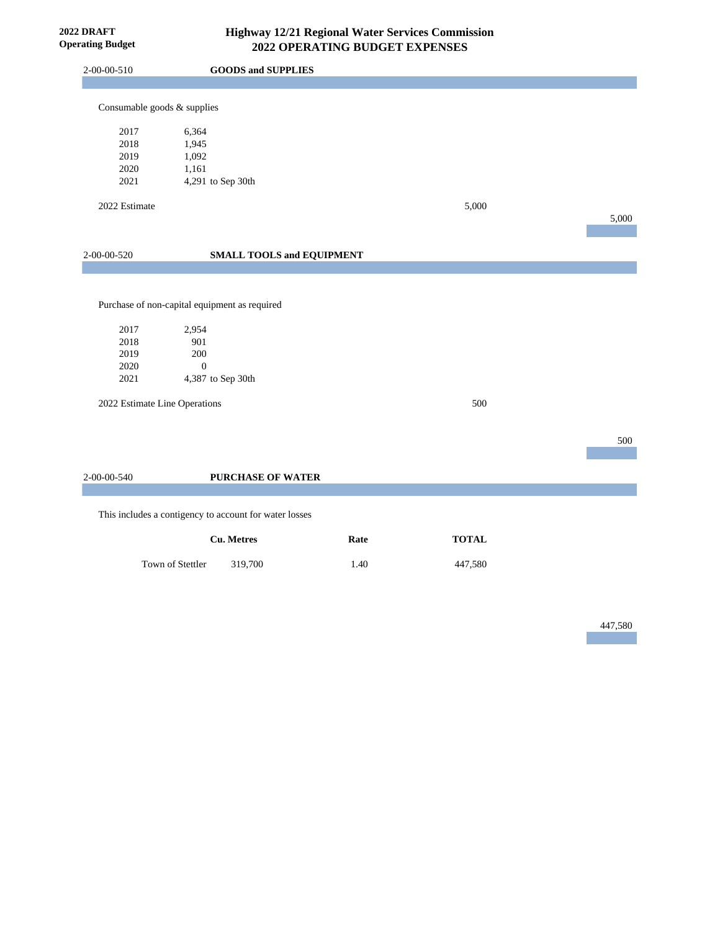**2022 DRAFT Operating Budget**

| 2-00-00-510                          | <b>GOODS and SUPPLIES</b>                                    |      |              |       |
|--------------------------------------|--------------------------------------------------------------|------|--------------|-------|
|                                      |                                                              |      |              |       |
| Consumable goods & supplies          |                                                              |      |              |       |
| 2017                                 | 6,364                                                        |      |              |       |
| 2018                                 | 1,945                                                        |      |              |       |
| 2019                                 | 1,092                                                        |      |              |       |
| 2020                                 | 1,161                                                        |      |              |       |
| 2021                                 | 4,291 to Sep 30th                                            |      |              |       |
| 2022 Estimate                        |                                                              |      | 5,000        |       |
|                                      |                                                              |      |              | 5,000 |
|                                      |                                                              |      |              |       |
|                                      |                                                              |      |              |       |
| 2-00-00-520                          | <b>SMALL TOOLS and EQUIPMENT</b>                             |      |              |       |
| 2017<br>2018<br>2019<br>2020<br>2021 | 2,954<br>901<br>200<br>$\boldsymbol{0}$<br>4,387 to Sep 30th |      |              |       |
| 2022 Estimate Line Operations        |                                                              |      | 500          |       |
|                                      |                                                              |      |              | 500   |
|                                      |                                                              |      |              |       |
| 2-00-00-540                          | <b>PURCHASE OF WATER</b>                                     |      |              |       |
|                                      |                                                              |      |              |       |
|                                      | This includes a contigency to account for water losses       |      |              |       |
|                                      | <b>Cu.</b> Metres                                            | Rate | <b>TOTAL</b> |       |
|                                      | Town of Stettler<br>319,700                                  | 1.40 | 447,580      |       |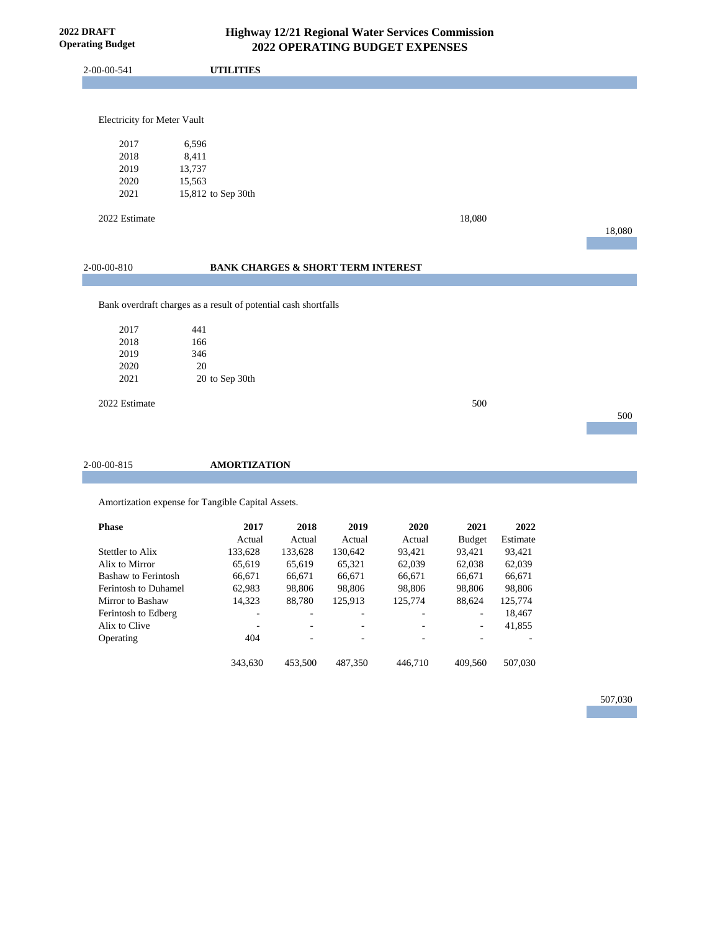2-00-00-541 **UTILITIES**

#### Electricity for Meter Vault

| 2017 | 6.596              |
|------|--------------------|
| 2018 | 8.411              |
| 2019 | 13.737             |
| 2020 | 15.563             |
| 2021 | 15,812 to Sep 30th |

2022 Estimate 18,080

18,080

500

|  | 2-00-00-810 |  |
|--|-------------|--|
|  |             |  |

# 2-00-00-810 **BANK CHARGES & SHORT TERM INTEREST**

Bank overdraft charges as a result of potential cash shortfalls

| 2017 | 441            |
|------|----------------|
| 2018 | 166            |
| 2019 | 346            |
| 2020 | 20             |
| 2021 | 20 to Sep 30th |

2022 Estimate 500

2-00-00-815 **AMORTIZATION**

Amortization expense for Tangible Capital Assets.

| <b>Phase</b>                | 2017    | 2018    | 2019                     | 2020    | 2021          | 2022     |
|-----------------------------|---------|---------|--------------------------|---------|---------------|----------|
|                             | Actual  | Actual  | Actual                   | Actual  | <b>Budget</b> | Estimate |
| Stettler to Alix            | 133,628 | 133,628 | 130.642                  | 93.421  | 93.421        | 93,421   |
| Alix to Mirror              | 65.619  | 65,619  | 65,321                   | 62,039  | 62,038        | 62,039   |
| Bashaw to Ferintosh         | 66.671  | 66,671  | 66,671                   | 66,671  | 66,671        | 66,671   |
| <b>Ferintosh to Duhamel</b> | 62,983  | 98,806  | 98,806                   | 98.806  | 98,806        | 98,806   |
| Mirror to Bashaw            | 14.323  | 88,780  | 125,913                  | 125,774 | 88,624        | 125,774  |
| Ferintosh to Edberg         | -       | ۰       | -                        |         | ٠             | 18,467   |
| Alix to Clive               | -       | ۰       | $\overline{\phantom{a}}$ | ۰       | ٠             | 41,855   |
| Operating                   | 404     | ۰       |                          |         |               |          |
|                             | 343.630 | 453,500 | 487,350                  | 446,710 | 409.560       | 507,030  |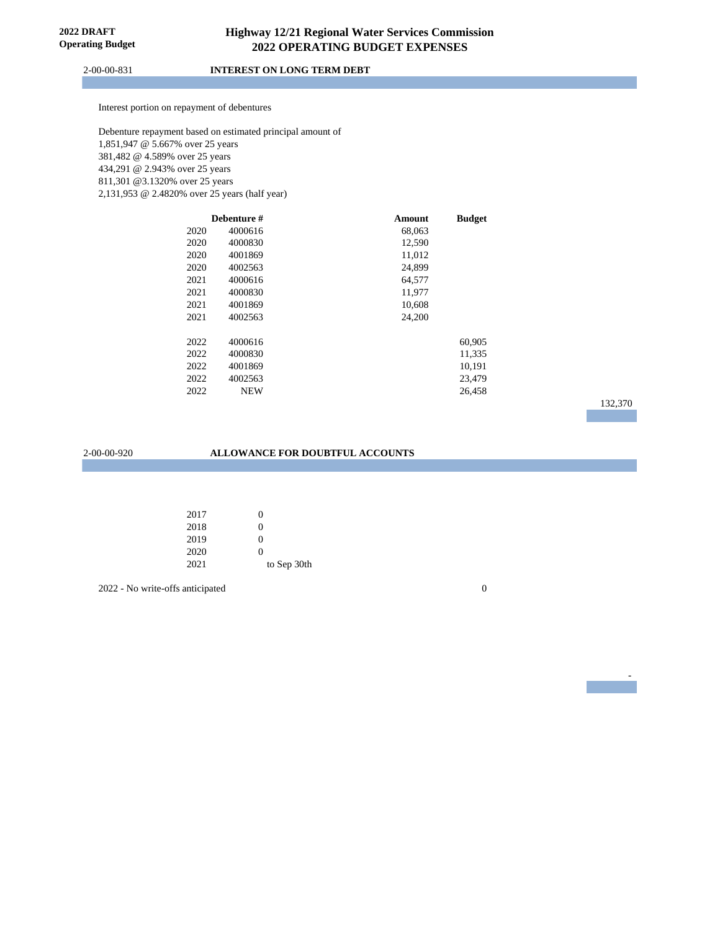2-00-00-831 **INTEREST ON LONG TERM DEBT**

Interest portion on repayment of debentures

Debenture repayment based on estimated principal amount of 1,851,947 @ 5.667% over 25 years 381,482 @ 4.589% over 25 years 434,291 @ 2.943% over 25 years 811,301 @3.1320% over 25 years 2,131,953 @ 2.4820% over 25 years (half year)

|      | Debenture # | Amount | <b>Budget</b> |
|------|-------------|--------|---------------|
| 2020 | 4000616     | 68,063 |               |
| 2020 | 4000830     | 12,590 |               |
| 2020 | 4001869     | 11,012 |               |
| 2020 | 4002563     | 24,899 |               |
| 2021 | 4000616     | 64,577 |               |
| 2021 | 4000830     | 11,977 |               |
| 2021 | 4001869     | 10,608 |               |
| 2021 | 4002563     | 24,200 |               |
|      |             |        |               |
| 2022 | 4000616     |        | 60,905        |
| 2022 | 4000830     |        | 11,335        |
| 2022 | 4001869     |        | 10,191        |
| 2022 | 4002563     |        | 23,479        |
| 2022 | <b>NEW</b>  |        | 26,458        |
|      |             |        |               |

# 132,370

-

#### 2-00-00-920 **ALLOWANCE FOR DOUBTFUL ACCOUNTS**

| 2017 | 0           |
|------|-------------|
| 2018 | 0           |
| 2019 | 0           |
| 2020 | 0           |
| 2021 | to Sep 30th |

2022 - No write-offs anticipated 0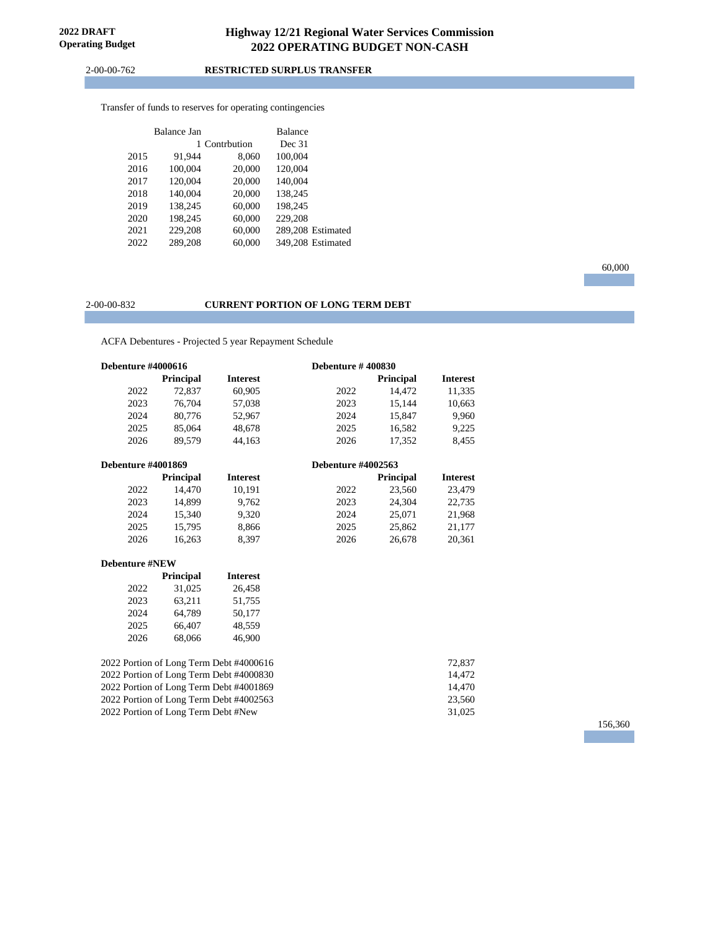2-00-00-762 **RESTRICTED SURPLUS TRANSFER**

Transfer of funds to reserves for operating contingencies

|      | Balance Jan |               | Balance |                   |
|------|-------------|---------------|---------|-------------------|
|      |             | 1 Contrbution | Dec 31  |                   |
| 2015 | 91.944      | 8,060         | 100,004 |                   |
| 2016 | 100,004     | 20,000        | 120,004 |                   |
| 2017 | 120,004     | 20,000        | 140,004 |                   |
| 2018 | 140,004     | 20,000        | 138,245 |                   |
| 2019 | 138,245     | 60,000        | 198,245 |                   |
| 2020 | 198,245     | 60,000        | 229,208 |                   |
| 2021 | 229,208     | 60,000        |         | 289.208 Estimated |
| 2022 | 289.208     | 60.000        |         | 349.208 Estimated |

#### 2-00-00-832 **CURRENT PORTION OF LONG TERM DEBT**

ACFA Debentures - Projected 5 year Repayment Schedule

| <b>Debenture #4000616</b> |                  |                 | <b>Debenture #400830</b>  |                  |                 |
|---------------------------|------------------|-----------------|---------------------------|------------------|-----------------|
|                           | <b>Principal</b> | <b>Interest</b> |                           | <b>Principal</b> | <b>Interest</b> |
| 2022                      | 72,837           | 60,905          | 2022                      | 14,472           | 11,335          |
| 2023                      | 76,704           | 57,038          | 2023                      | 15,144           | 10,663          |
| 2024                      | 80,776           | 52,967          | 2024                      | 15,847           | 9,960           |
| 2025                      | 85,064           | 48.678          | 2025                      | 16,582           | 9,225           |
| 2026                      | 89.579           | 44.163          | 2026                      | 17,352           | 8,455           |
| <b>Debenture #4001869</b> |                  |                 | <b>Debenture #4002563</b> |                  |                 |
|                           | <b>Principal</b> | <b>Interest</b> |                           | <b>Principal</b> | <b>Interest</b> |
| 2022                      | 14.470           | 10.191          | 2022                      | 23.560           | 23,479          |
| 2023                      | 14.899           | 9.762           | 2023                      | 24.304           | 22,735          |
| 2024                      | 15.340           | 9,320           | 2024                      | 25,071           | 21,968          |
| 2025                      | 15.795           | 8,866           | 2025                      | 25,862           | 21.177          |

2026 16,263 8,397 2026 26,678 20,361

#### **Debenture #NEW**

|      | <b>Principal</b> | <b>Interest</b> |
|------|------------------|-----------------|
| 2022 | 31.025           | 26.458          |
| 2023 | 63.211           | 51.755          |
| 2024 | 64.789           | 50.177          |
| 2025 | 66.407           | 48.559          |
| 2026 | 68,066           | 46.900          |

2022 Portion of Long Term Debt #4000616 72,837<br>2022 Portion of Long Term Debt #4000830 14.472 2022 Portion of Long Term Debt #4000830 14,472 2022 Portion of Long Term Debt #4001869 14,470<br>2022 Portion of Long Term Debt #4002563 23,560 23,560 2022 Portion of Long Term Debt #4002563 23,560<br>2022 Portion of Long Term Debt #New 31,025 2022 Portion of Long Term Debt #New